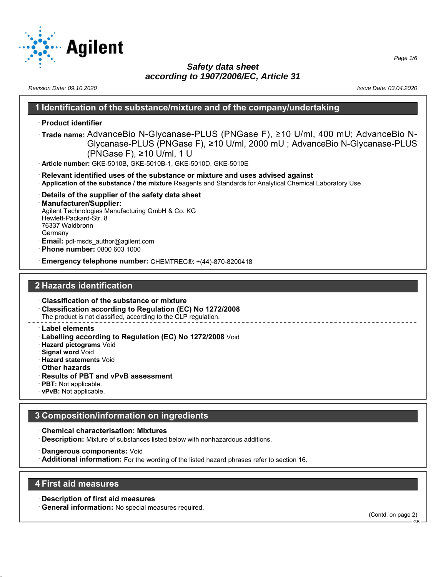

*Revision Date: 09.10.2020 Issue Date: 03.04.2020*

## **1 Identification of the substance/mixture and of the company/undertaking**

#### · **Product identifier**

- · **Trade name:** AdvanceBio N-Glycanase-PLUS (PNGase F), ≥10 U/ml, 400 mU; AdvanceBio N-Glycanase-PLUS (PNGase F), ≥10 U/ml, 2000 mU ; AdvanceBio N-Glycanase-PLUS (PNGase F), ≥10 U/ml, 1 U
- · **Article number:** GKE-5010B, GKE-5010B-1, GKE-5010D, GKE-5010E
- · **Relevant identified uses of the substance or mixture and uses advised against**
- · **Application of the substance / the mixture** Reagents and Standards for Analytical Chemical Laboratory Use
- · **Details of the supplier of the safety data sheet**
- · **Manufacturer/Supplier:** Agilent Technologies Manufacturing GmbH & Co. KG Hewlett-Packard-Str. 8 76337 Waldbronn Germany **Email:** pdl-msds author@agilent.com
- · **Phone number:** 0800 603 1000
- · **Emergency telephone number:** CHEMTREC®: +(44)-870-8200418

# **2 Hazards identification**

- · **Classification of the substance or mixture**
- · **Classification according to Regulation (EC) No 1272/2008** The product is not classified, according to the CLP regulation.
- · **Label elements**
- · **Labelling according to Regulation (EC) No 1272/2008** Void
- · **Hazard pictograms** Void
- · **Signal word** Void
- · **Hazard statements** Void
- · **Other hazards**
- · **Results of PBT and vPvB assessment**
- · **PBT:** Not applicable.
- · **vPvB:** Not applicable.

# **3 Composition/information on ingredients**

- · **Chemical characterisation: Mixtures**
- · **Description:** Mixture of substances listed below with nonhazardous additions.
- · **Dangerous components:** Void
- · **Additional information:** For the wording of the listed hazard phrases refer to section 16.

## **4 First aid measures**

- · **Description of first aid measures**
- · **General information:** No special measures required.

(Contd. on page 2)

GB

*Page 1/6*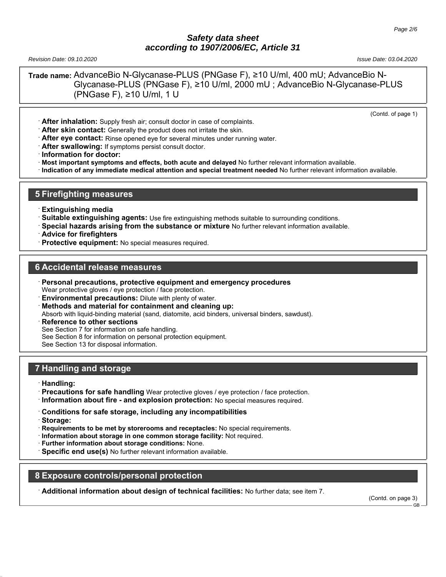*Revision Date: 09.10.2020 Issue Date: 03.04.2020*

**Trade name:** AdvanceBio N-Glycanase-PLUS (PNGase F), ≥10 U/ml, 400 mU; AdvanceBio N-Glycanase-PLUS (PNGase F), ≥10 U/ml, 2000 mU ; AdvanceBio N-Glycanase-PLUS (PNGase F), ≥10 U/ml, 1 U

(Contd. of page 1)

- · **After inhalation:** Supply fresh air; consult doctor in case of complaints.
- · **After skin contact:** Generally the product does not irritate the skin.
- · **After eye contact:** Rinse opened eye for several minutes under running water.
- · **After swallowing:** If symptoms persist consult doctor.
- · **Information for doctor:**
- · **Most important symptoms and effects, both acute and delayed** No further relevant information available.
- · **Indication of any immediate medical attention and special treatment needed** No further relevant information available.

## **5 Firefighting measures**

- · **Extinguishing media**
- · **Suitable extinguishing agents:** Use fire extinguishing methods suitable to surrounding conditions.
- · **Special hazards arising from the substance or mixture** No further relevant information available.
- · **Advice for firefighters**
- · **Protective equipment:** No special measures required.

## **6 Accidental release measures**

- · **Personal precautions, protective equipment and emergency procedures** Wear protective gloves / eye protection / face protection.
- **Environmental precautions:** Dilute with plenty of water.
- · **Methods and material for containment and cleaning up:**

Absorb with liquid-binding material (sand, diatomite, acid binders, universal binders, sawdust).

**Reference to other sections** 

See Section 7 for information on safe handling.

See Section 8 for information on personal protection equipment.

See Section 13 for disposal information.

## **7 Handling and storage**

- · **Handling:**
- · **Precautions for safe handling** Wear protective gloves / eye protection / face protection.
- · **Information about fire and explosion protection:** No special measures required.
- · **Conditions for safe storage, including any incompatibilities**
- · **Storage:**
- · **Requirements to be met by storerooms and receptacles:** No special requirements.
- · **Information about storage in one common storage facility:** Not required.
- · **Further information about storage conditions:** None.
- **Specific end use(s)** No further relevant information available.

#### **8 Exposure controls/personal protection**

· **Additional information about design of technical facilities:** No further data; see item 7.

(Contd. on page 3)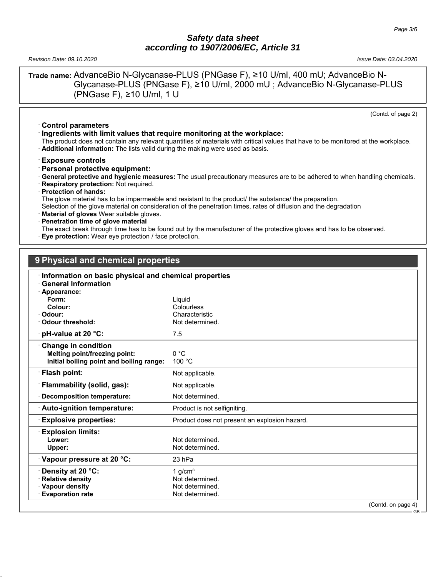*Revision Date: 09.10.2020 Issue Date: 03.04.2020*

**Trade name:** AdvanceBio N-Glycanase-PLUS (PNGase F), ≥10 U/ml, 400 mU; AdvanceBio N-Glycanase-PLUS (PNGase F), ≥10 U/ml, 2000 mU ; AdvanceBio N-Glycanase-PLUS (PNGase F), ≥10 U/ml, 1 U

(Contd. of page 2)

GB

- · **Control parameters** · **Ingredients with limit values that require monitoring at the workplace:**
- The product does not contain any relevant quantities of materials with critical values that have to be monitored at the workplace.
- · **Additional information:** The lists valid during the making were used as basis.

· **Exposure controls**

- · **Personal protective equipment:**
- · **General protective and hygienic measures:** The usual precautionary measures are to be adhered to when handling chemicals.
- · **Respiratory protection:** Not required.
- · **Protection of hands:**

The glove material has to be impermeable and resistant to the product/ the substance/ the preparation.

Selection of the glove material on consideration of the penetration times, rates of diffusion and the degradation

- **Material of gloves** Wear suitable gloves.
- · **Penetration time of glove material**
- The exact break through time has to be found out by the manufacturer of the protective gloves and has to be observed.
- **Eye protection:** Wear eye protection / face protection.

# **9 Physical and chemical properties**

## · **Information on basic physical and chemical properties** · **General Information** · **Appearance: Form:** Liquid **Colour:** Colourless **Odour:** Characteristic · **Odour threshold:** Not determined. **pH-value at 20 °C:** 7.5 · **Change in condition Melting point/freezing point:** 0 °C **Initial boiling point and boiling range: Flash point:** Not applicable. **Flammability (solid, gas):** Not applicable. **Decomposition temperature:** Not determined. **Auto-ignition temperature:** Product is not selfigniting. · **Explosive properties:** Product does not present an explosion hazard. · **Explosion limits:** Lower: **Not determined. Upper:** Not determined. · **Vapour pressure at 20 °C:** 23 hPa **Density at 20 °C:** 1 g/cm<sup>3</sup> · **Relative density Not determined.** · **Vapour density Not determined.** Not determined. · **Evaporation rate Not determined.** (Contd. on page 4)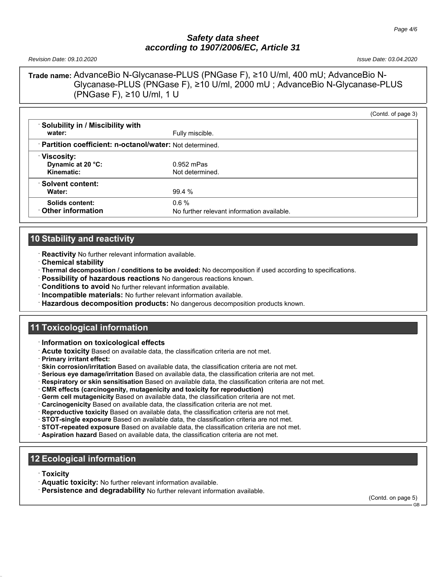*Revision Date: 09.10.2020 Issue Date: 03.04.2020*

**Trade name:** AdvanceBio N-Glycanase-PLUS (PNGase F), ≥10 U/ml, 400 mU; AdvanceBio N-Glycanase-PLUS (PNGase F), ≥10 U/ml, 2000 mU ; AdvanceBio N-Glycanase-PLUS (PNGase F), ≥10 U/ml, 1 U

|                                                           |                                                       | (Contd. of page 3) |
|-----------------------------------------------------------|-------------------------------------------------------|--------------------|
| Solubility in / Miscibility with<br>water:                | Fully miscible.                                       |                    |
| · Partition coefficient: n-octanol/water: Not determined. |                                                       |                    |
| <b>Viscosity:</b><br>Dynamic at 20 °C:<br>Kinematic:      | $0.952$ mPas<br>Not determined.                       |                    |
| Solvent content:<br>Water:                                | 99.4 %                                                |                    |
| Solids content:<br>Other information                      | $0.6\%$<br>No further relevant information available. |                    |

# **10 Stability and reactivity**

· **Reactivity** No further relevant information available.

- · **Chemical stability**
- · **Thermal decomposition / conditions to be avoided:** No decomposition if used according to specifications.
- · **Possibility of hazardous reactions** No dangerous reactions known.
- · **Conditions to avoid** No further relevant information available.
- · **Incompatible materials:** No further relevant information available.
- · **Hazardous decomposition products:** No dangerous decomposition products known.

## **11 Toxicological information**

- · **Information on toxicological effects**
- · **Acute toxicity** Based on available data, the classification criteria are not met.
- · **Primary irritant effect:**
- · **Skin corrosion/irritation** Based on available data, the classification criteria are not met.
- · **Serious eye damage/irritation** Based on available data, the classification criteria are not met.
- · **Respiratory or skin sensitisation** Based on available data, the classification criteria are not met.
- · **CMR effects (carcinogenity, mutagenicity and toxicity for reproduction)**
- · **Germ cell mutagenicity** Based on available data, the classification criteria are not met.
- · **Carcinogenicity** Based on available data, the classification criteria are not met.
- · **Reproductive toxicity** Based on available data, the classification criteria are not met.
- · **STOT-single exposure** Based on available data, the classification criteria are not met.
- · **STOT-repeated exposure** Based on available data, the classification criteria are not met.
- · **Aspiration hazard** Based on available data, the classification criteria are not met.

# **12 Ecological information**

- · **Toxicity**
- · **Aquatic toxicity:** No further relevant information available.
- · **Persistence and degradability** No further relevant information available.

(Contd. on page 5)

GB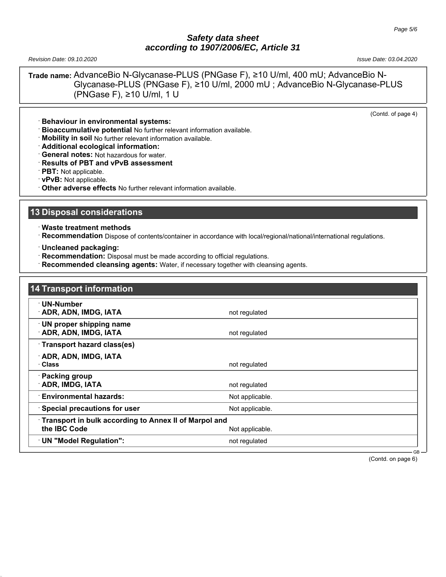*Revision Date: 09.10.2020 Issue Date: 03.04.2020*

**Trade name:** AdvanceBio N-Glycanase-PLUS (PNGase F), ≥10 U/ml, 400 mU; AdvanceBio N-Glycanase-PLUS (PNGase F), ≥10 U/ml, 2000 mU ; AdvanceBio N-Glycanase-PLUS (PNGase F), ≥10 U/ml, 1 U

(Contd. of page 4)

- · **Behaviour in environmental systems:**
- · **Bioaccumulative potential** No further relevant information available.
- · **Mobility in soil** No further relevant information available.
- · **Additional ecological information:**
- · **General notes:** Not hazardous for water.
- · **Results of PBT and vPvB assessment**
- · **PBT:** Not applicable.
- · **vPvB:** Not applicable.
- · **Other adverse effects** No further relevant information available.

### **13 Disposal considerations**

- · **Waste treatment methods**
- · **Recommendation** Dispose of contents/container in accordance with local/regional/national/international regulations.
- · **Uncleaned packaging:**
- · **Recommendation:** Disposal must be made according to official regulations.
- **Recommended cleansing agents:** Water, if necessary together with cleansing agents.

| 14 Transport information                                              |                 |
|-----------------------------------------------------------------------|-----------------|
| · UN-Number<br>ADR, ADN, IMDG, IATA                                   | not regulated   |
| · UN proper shipping name<br><b>ADR, ADN, IMDG, IATA</b>              | not regulated   |
| Transport hazard class(es)                                            |                 |
| <b>ADR, ADN, IMDG, IATA</b><br>· Class                                | not regulated   |
| · Packing group<br><b>ADR, IMDG, IATA</b>                             | not regulated   |
| <b>Environmental hazards:</b>                                         | Not applicable. |
| <b>Special precautions for user</b>                                   | Not applicable. |
| Transport in bulk according to Annex II of Marpol and<br>the IBC Code | Not applicable. |
| UN "Model Regulation":                                                | not regulated   |

(Contd. on page 6)

GB